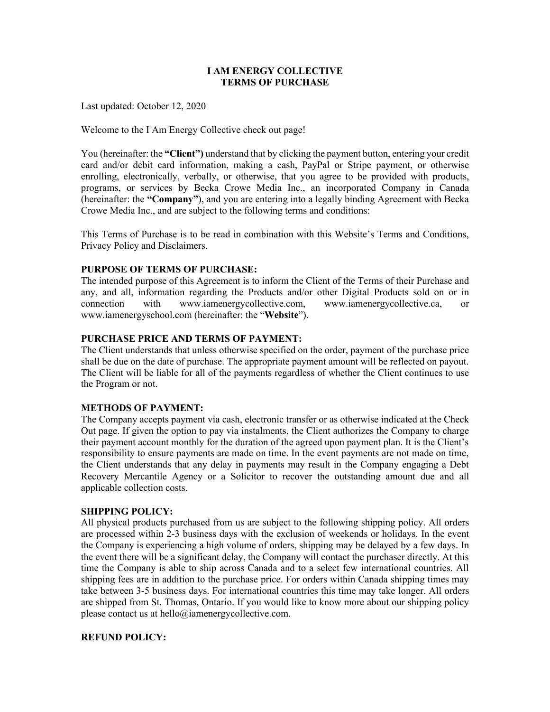# **I AM ENERGY COLLECTIVE TERMS OF PURCHASE**

Last updated: October 12, 2020

Welcome to the I Am Energy Collective check out page!

You (hereinafter: the **"Client")** understand that by clicking the payment button, entering your credit card and/or debit card information, making a cash, PayPal or Stripe payment, or otherwise enrolling, electronically, verbally, or otherwise, that you agree to be provided with products, programs, or services by Becka Crowe Media Inc., an incorporated Company in Canada (hereinafter: the **"Company"**), and you are entering into a legally binding Agreement with Becka Crowe Media Inc., and are subject to the following terms and conditions:

This Terms of Purchase is to be read in combination with this Website's Terms and Conditions, Privacy Policy and Disclaimers.

# **PURPOSE OF TERMS OF PURCHASE:**

The intended purpose of this Agreement is to inform the Client of the Terms of their Purchase and any, and all, information regarding the Products and/or other Digital Products sold on or in connection with www.iamenergycollective.com, www.iamenergycollective.ca, or www.iamenergyschool.com (hereinafter: the "**Website**").

# **PURCHASE PRICE AND TERMS OF PAYMENT:**

The Client understands that unless otherwise specified on the order, payment of the purchase price shall be due on the date of purchase. The appropriate payment amount will be reflected on payout. The Client will be liable for all of the payments regardless of whether the Client continues to use the Program or not.

# **METHODS OF PAYMENT:**

The Company accepts payment via cash, electronic transfer or as otherwise indicated at the Check Out page. If given the option to pay via instalments, the Client authorizes the Company to charge their payment account monthly for the duration of the agreed upon payment plan. It is the Client's responsibility to ensure payments are made on time. In the event payments are not made on time, the Client understands that any delay in payments may result in the Company engaging a Debt Recovery Mercantile Agency or a Solicitor to recover the outstanding amount due and all applicable collection costs.

### **SHIPPING POLICY:**

All physical products purchased from us are subject to the following shipping policy. All orders are processed within 2-3 business days with the exclusion of weekends or holidays. In the event the Company is experiencing a high volume of orders, shipping may be delayed by a few days. In the event there will be a significant delay, the Company will contact the purchaser directly. At this time the Company is able to ship across Canada and to a select few international countries. All shipping fees are in addition to the purchase price. For orders within Canada shipping times may take between 3-5 business days. For international countries this time may take longer. All orders are shipped from St. Thomas, Ontario. If you would like to know more about our shipping policy please contact us at hello@iamenergycollective.com.

### **REFUND POLICY:**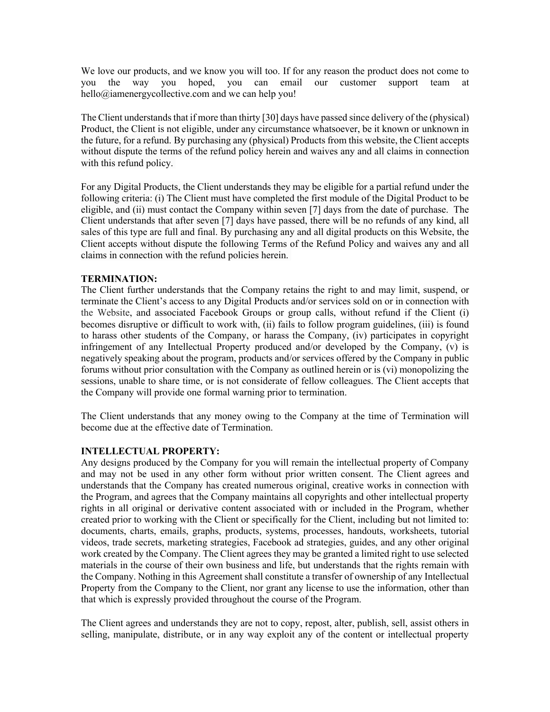We love our products, and we know you will too. If for any reason the product does not come to you the way you hoped, you can email our customer support team at hello@iamenergycollective.com and we can help you!

The Client understands that if more than thirty [30] days have passed since delivery of the (physical) Product, the Client is not eligible, under any circumstance whatsoever, be it known or unknown in the future, for a refund. By purchasing any (physical) Products from this website, the Client accepts without dispute the terms of the refund policy herein and waives any and all claims in connection with this refund policy.

For any Digital Products, the Client understands they may be eligible for a partial refund under the following criteria: (i) The Client must have completed the first module of the Digital Product to be eligible, and (ii) must contact the Company within seven [7] days from the date of purchase. The Client understands that after seven [7] days have passed, there will be no refunds of any kind, all sales of this type are full and final. By purchasing any and all digital products on this Website, the Client accepts without dispute the following Terms of the Refund Policy and waives any and all claims in connection with the refund policies herein.

# **TERMINATION:**

The Client further understands that the Company retains the right to and may limit, suspend, or terminate the Client's access to any Digital Products and/or services sold on or in connection with the Website, and associated Facebook Groups or group calls, without refund if the Client (i) becomes disruptive or difficult to work with, (ii) fails to follow program guidelines, (iii) is found to harass other students of the Company, or harass the Company, (iv) participates in copyright infringement of any Intellectual Property produced and/or developed by the Company, (v) is negatively speaking about the program, products and/or services offered by the Company in public forums without prior consultation with the Company as outlined herein or is (vi) monopolizing the sessions, unable to share time, or is not considerate of fellow colleagues. The Client accepts that the Company will provide one formal warning prior to termination.

The Client understands that any money owing to the Company at the time of Termination will become due at the effective date of Termination.

# **INTELLECTUAL PROPERTY:**

Any designs produced by the Company for you will remain the intellectual property of Company and may not be used in any other form without prior written consent. The Client agrees and understands that the Company has created numerous original, creative works in connection with the Program, and agrees that the Company maintains all copyrights and other intellectual property rights in all original or derivative content associated with or included in the Program, whether created prior to working with the Client or specifically for the Client, including but not limited to: documents, charts, emails, graphs, products, systems, processes, handouts, worksheets, tutorial videos, trade secrets, marketing strategies, Facebook ad strategies, guides, and any other original work created by the Company. The Client agrees they may be granted a limited right to use selected materials in the course of their own business and life, but understands that the rights remain with the Company. Nothing in this Agreement shall constitute a transfer of ownership of any Intellectual Property from the Company to the Client, nor grant any license to use the information, other than that which is expressly provided throughout the course of the Program.

The Client agrees and understands they are not to copy, repost, alter, publish, sell, assist others in selling, manipulate, distribute, or in any way exploit any of the content or intellectual property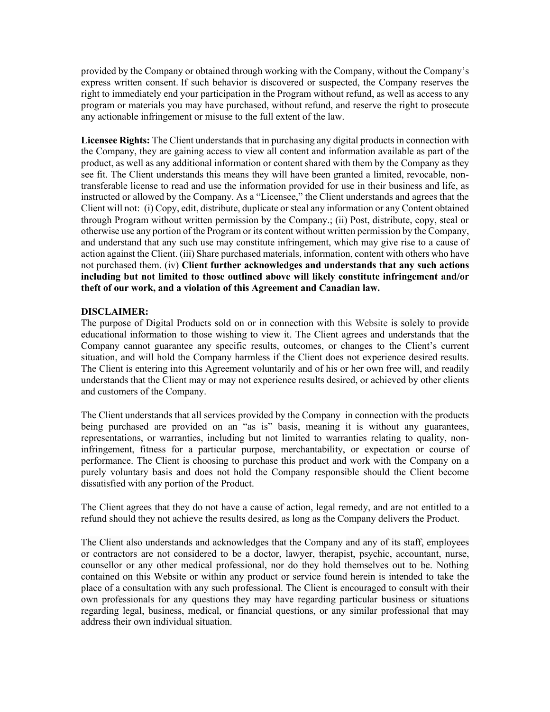provided by the Company or obtained through working with the Company, without the Company's express written consent. If such behavior is discovered or suspected, the Company reserves the right to immediately end your participation in the Program without refund, as well as access to any program or materials you may have purchased, without refund, and reserve the right to prosecute any actionable infringement or misuse to the full extent of the law.

**Licensee Rights:** The Client understands that in purchasing any digital products in connection with the Company, they are gaining access to view all content and information available as part of the product, as well as any additional information or content shared with them by the Company as they see fit. The Client understands this means they will have been granted a limited, revocable, nontransferable license to read and use the information provided for use in their business and life, as instructed or allowed by the Company. As a "Licensee," the Client understands and agrees that the Client will not: (i) Copy, edit, distribute, duplicate or steal any information or any Content obtained through Program without written permission by the Company.; (ii) Post, distribute, copy, steal or otherwise use any portion of the Program or its content without written permission by the Company, and understand that any such use may constitute infringement, which may give rise to a cause of action against the Client. (iii) Share purchased materials, information, content with others who have not purchased them. (iv) **Client further acknowledges and understands that any such actions including but not limited to those outlined above will likely constitute infringement and/or theft of our work, and a violation of this Agreement and Canadian law.**

# **DISCLAIMER:**

The purpose of Digital Products sold on or in connection with this Website is solely to provide educational information to those wishing to view it. The Client agrees and understands that the Company cannot guarantee any specific results, outcomes, or changes to the Client's current situation, and will hold the Company harmless if the Client does not experience desired results. The Client is entering into this Agreement voluntarily and of his or her own free will, and readily understands that the Client may or may not experience results desired, or achieved by other clients and customers of the Company.

The Client understands that all services provided by the Company in connection with the products being purchased are provided on an "as is" basis, meaning it is without any guarantees, representations, or warranties, including but not limited to warranties relating to quality, noninfringement, fitness for a particular purpose, merchantability, or expectation or course of performance. The Client is choosing to purchase this product and work with the Company on a purely voluntary basis and does not hold the Company responsible should the Client become dissatisfied with any portion of the Product.

The Client agrees that they do not have a cause of action, legal remedy, and are not entitled to a refund should they not achieve the results desired, as long as the Company delivers the Product.

The Client also understands and acknowledges that the Company and any of its staff, employees or contractors are not considered to be a doctor, lawyer, therapist, psychic, accountant, nurse, counsellor or any other medical professional, nor do they hold themselves out to be. Nothing contained on this Website or within any product or service found herein is intended to take the place of a consultation with any such professional. The Client is encouraged to consult with their own professionals for any questions they may have regarding particular business or situations regarding legal, business, medical, or financial questions, or any similar professional that may address their own individual situation.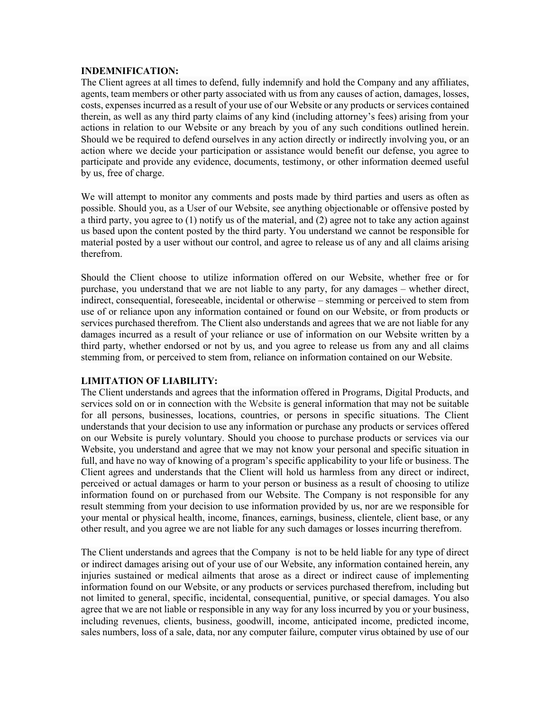### **INDEMNIFICATION:**

The Client agrees at all times to defend, fully indemnify and hold the Company and any affiliates, agents, team members or other party associated with us from any causes of action, damages, losses, costs, expenses incurred as a result of your use of our Website or any products or services contained therein, as well as any third party claims of any kind (including attorney's fees) arising from your actions in relation to our Website or any breach by you of any such conditions outlined herein. Should we be required to defend ourselves in any action directly or indirectly involving you, or an action where we decide your participation or assistance would benefit our defense, you agree to participate and provide any evidence, documents, testimony, or other information deemed useful by us, free of charge.

We will attempt to monitor any comments and posts made by third parties and users as often as possible. Should you, as a User of our Website, see anything objectionable or offensive posted by a third party, you agree to (1) notify us of the material, and (2) agree not to take any action against us based upon the content posted by the third party. You understand we cannot be responsible for material posted by a user without our control, and agree to release us of any and all claims arising therefrom.

Should the Client choose to utilize information offered on our Website, whether free or for purchase, you understand that we are not liable to any party, for any damages – whether direct, indirect, consequential, foreseeable, incidental or otherwise – stemming or perceived to stem from use of or reliance upon any information contained or found on our Website, or from products or services purchased therefrom. The Client also understands and agrees that we are not liable for any damages incurred as a result of your reliance or use of information on our Website written by a third party, whether endorsed or not by us, and you agree to release us from any and all claims stemming from, or perceived to stem from, reliance on information contained on our Website.

# **LIMITATION OF LIABILITY:**

The Client understands and agrees that the information offered in Programs, Digital Products, and services sold on or in connection with the Website is general information that may not be suitable for all persons, businesses, locations, countries, or persons in specific situations. The Client understands that your decision to use any information or purchase any products or services offered on our Website is purely voluntary. Should you choose to purchase products or services via our Website, you understand and agree that we may not know your personal and specific situation in full, and have no way of knowing of a program's specific applicability to your life or business. The Client agrees and understands that the Client will hold us harmless from any direct or indirect, perceived or actual damages or harm to your person or business as a result of choosing to utilize information found on or purchased from our Website. The Company is not responsible for any result stemming from your decision to use information provided by us, nor are we responsible for your mental or physical health, income, finances, earnings, business, clientele, client base, or any other result, and you agree we are not liable for any such damages or losses incurring therefrom.

The Client understands and agrees that the Company is not to be held liable for any type of direct or indirect damages arising out of your use of our Website, any information contained herein, any injuries sustained or medical ailments that arose as a direct or indirect cause of implementing information found on our Website, or any products or services purchased therefrom, including but not limited to general, specific, incidental, consequential, punitive, or special damages. You also agree that we are not liable or responsible in any way for any loss incurred by you or your business, including revenues, clients, business, goodwill, income, anticipated income, predicted income, sales numbers, loss of a sale, data, nor any computer failure, computer virus obtained by use of our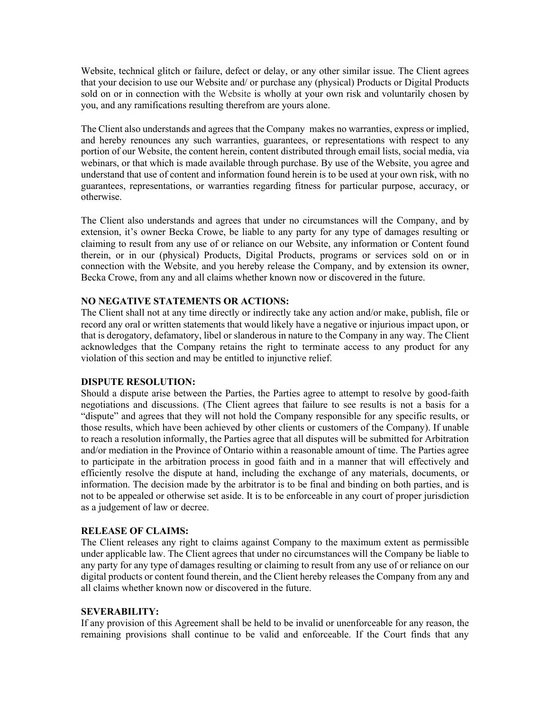Website, technical glitch or failure, defect or delay, or any other similar issue. The Client agrees that your decision to use our Website and/ or purchase any (physical) Products or Digital Products sold on or in connection with the Website is wholly at your own risk and voluntarily chosen by you, and any ramifications resulting therefrom are yours alone.

The Client also understands and agrees that the Company makes no warranties, express or implied, and hereby renounces any such warranties, guarantees, or representations with respect to any portion of our Website, the content herein, content distributed through email lists, social media, via webinars, or that which is made available through purchase. By use of the Website, you agree and understand that use of content and information found herein is to be used at your own risk, with no guarantees, representations, or warranties regarding fitness for particular purpose, accuracy, or otherwise.

The Client also understands and agrees that under no circumstances will the Company, and by extension, it's owner Becka Crowe, be liable to any party for any type of damages resulting or claiming to result from any use of or reliance on our Website, any information or Content found therein, or in our (physical) Products, Digital Products, programs or services sold on or in connection with the Website, and you hereby release the Company, and by extension its owner, Becka Crowe, from any and all claims whether known now or discovered in the future.

# **NO NEGATIVE STATEMENTS OR ACTIONS:**

The Client shall not at any time directly or indirectly take any action and/or make, publish, file or record any oral or written statements that would likely have a negative or injurious impact upon, or that is derogatory, defamatory, libel or slanderous in nature to the Company in any way. The Client acknowledges that the Company retains the right to terminate access to any product for any violation of this section and may be entitled to injunctive relief.

#### **DISPUTE RESOLUTION:**

Should a dispute arise between the Parties, the Parties agree to attempt to resolve by good-faith negotiations and discussions. (The Client agrees that failure to see results is not a basis for a "dispute" and agrees that they will not hold the Company responsible for any specific results, or those results, which have been achieved by other clients or customers of the Company). If unable to reach a resolution informally, the Parties agree that all disputes will be submitted for Arbitration and/or mediation in the Province of Ontario within a reasonable amount of time. The Parties agree to participate in the arbitration process in good faith and in a manner that will effectively and efficiently resolve the dispute at hand, including the exchange of any materials, documents, or information. The decision made by the arbitrator is to be final and binding on both parties, and is not to be appealed or otherwise set aside. It is to be enforceable in any court of proper jurisdiction as a judgement of law or decree.

#### **RELEASE OF CLAIMS:**

The Client releases any right to claims against Company to the maximum extent as permissible under applicable law. The Client agrees that under no circumstances will the Company be liable to any party for any type of damages resulting or claiming to result from any use of or reliance on our digital products or content found therein, and the Client hereby releases the Company from any and all claims whether known now or discovered in the future.

#### **SEVERABILITY:**

If any provision of this Agreement shall be held to be invalid or unenforceable for any reason, the remaining provisions shall continue to be valid and enforceable. If the Court finds that any